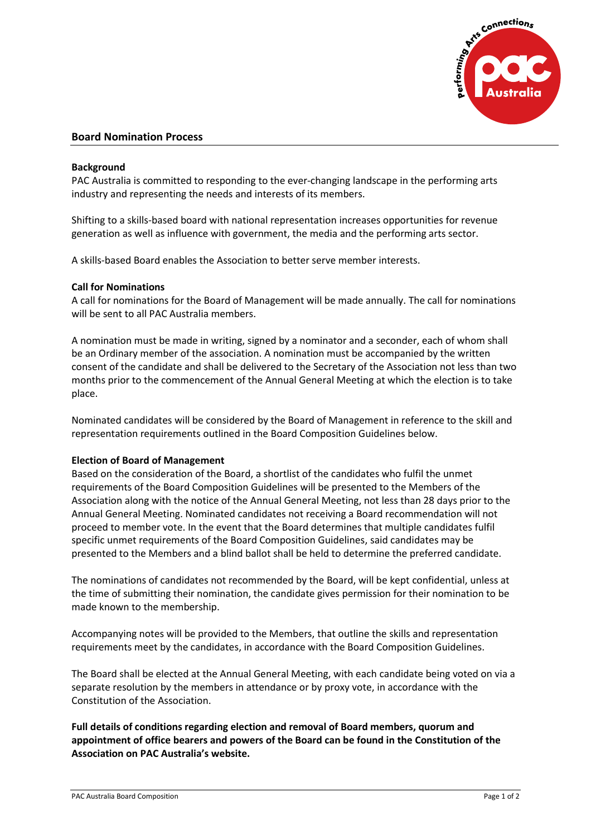

# **Board Nomination Process**

## **Background**

PAC Australia is committed to responding to the ever-changing landscape in the performing arts industry and representing the needs and interests of its members.

Shifting to a skills-based board with national representation increases opportunities for revenue generation as well as influence with government, the media and the performing arts sector.

A skills-based Board enables the Association to better serve member interests.

## **Call for Nominations**

A call for nominations for the Board of Management will be made annually. The call for nominations will be sent to all PAC Australia members.

A nomination must be made in writing, signed by a nominator and a seconder, each of whom shall be an Ordinary member of the association. A nomination must be accompanied by the written consent of the candidate and shall be delivered to the Secretary of the Association not less than two months prior to the commencement of the Annual General Meeting at which the election is to take place.

Nominated candidates will be considered by the Board of Management in reference to the skill and representation requirements outlined in the Board Composition Guidelines below.

### **Election of Board of Management**

Based on the consideration of the Board, a shortlist of the candidates who fulfil the unmet requirements of the Board Composition Guidelines will be presented to the Members of the Association along with the notice of the Annual General Meeting, not less than 28 days prior to the Annual General Meeting. Nominated candidates not receiving a Board recommendation will not proceed to member vote. In the event that the Board determines that multiple candidates fulfil specific unmet requirements of the Board Composition Guidelines, said candidates may be presented to the Members and a blind ballot shall be held to determine the preferred candidate.

The nominations of candidates not recommended by the Board, will be kept confidential, unless at the time of submitting their nomination, the candidate gives permission for their nomination to be made known to the membership.

Accompanying notes will be provided to the Members, that outline the skills and representation requirements meet by the candidates, in accordance with the Board Composition Guidelines.

The Board shall be elected at the Annual General Meeting, with each candidate being voted on via a separate resolution by the members in attendance or by proxy vote, in accordance with the Constitution of the Association.

**Full details of conditions regarding election and removal of Board members, quorum and appointment of office bearers and powers of the Board can be found in the Constitution of the Association on PAC Australia's website.**